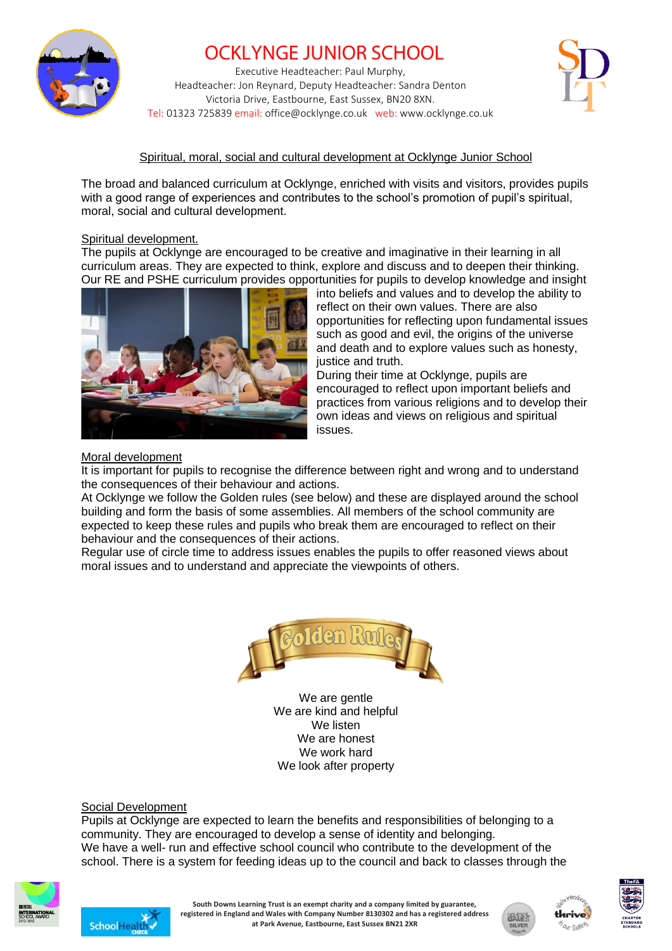

# OCKLYNGE JUNIOR SCHOOL

Executive Headteacher: Paul Murphy, Headteacher: Jon Reynard, Deputy Headteacher: Sandra Denton Victoria Drive, Eastbourne, East Sussex, BN20 8XN. Tel: 01323 725839 email: office@ocklynge.co.uk web: www.ocklynge.co.uk



## Spiritual, moral, social and cultural development at Ocklynge Junior School

The broad and balanced curriculum at Ocklynge, enriched with visits and visitors, provides pupils with a good range of experiences and contributes to the school's promotion of pupil's spiritual, moral, social and cultural development.

#### Spiritual development.

The pupils at Ocklynge are encouraged to be creative and imaginative in their learning in all curriculum areas. They are expected to think, explore and discuss and to deepen their thinking. Our RE and PSHE curriculum provides opportunities for pupils to develop knowledge and insight



into beliefs and values and to develop the ability to reflect on their own values. There are also opportunities for reflecting upon fundamental issues such as good and evil, the origins of the universe and death and to explore values such as honesty, justice and truth.

During their time at Ocklynge, pupils are encouraged to reflect upon important beliefs and practices from various religions and to develop their own ideas and views on religious and spiritual issues.

#### Moral development

It is important for pupils to recognise the difference between right and wrong and to understand the consequences of their behaviour and actions.

At Ocklynge we follow the Golden rules (see below) and these are displayed around the school building and form the basis of some assemblies. All members of the school community are expected to keep these rules and pupils who break them are encouraged to reflect on their behaviour and the consequences of their actions.

Regular use of circle time to address issues enables the pupils to offer reasoned views about moral issues and to understand and appreciate the viewpoints of others.



We are gentle We are kind and helpful We listen We are honest We work hard We look after property

### Social Development

Pupils at Ocklynge are expected to learn the benefits and responsibilities of belonging to a community. They are encouraged to develop a sense of identity and belonging. We have a well- run and effective school council who contribute to the development of the school. There is a system for feeding ideas up to the council and back to classes through the